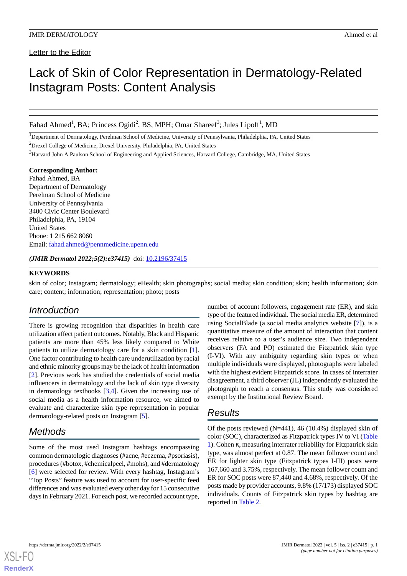Letter to the Editor

# Lack of Skin of Color Representation in Dermatology-Related Instagram Posts: Content Analysis

Fahad Ahmed<sup>1</sup>, BA; Princess Ogidi<sup>2</sup>, BS, MPH; Omar Shareef<sup>3</sup>; Jules Lipoff<sup>1</sup>, MD

<sup>1</sup>Department of Dermatology, Perelman School of Medicine, University of Pennsylvania, Philadelphia, PA, United States <sup>2</sup>Drexel College of Medicine, Drexel University, Philadelphia, PA, United States

<sup>3</sup>Harvard John A Paulson School of Engineering and Applied Sciences, Harvard College, Cambridge, MA, United States

**Corresponding Author:** Fahad Ahmed, BA Department of Dermatology Perelman School of Medicine University of Pennsylvania 3400 Civic Center Boulevard Philadelphia, PA, 19104 United States Phone: 1 215 662 8060 Email: [fahad.ahmed@pennmedicine.upenn.edu](mailto:fahad.ahmed@pennmedicine.upenn.edu)

*(JMIR Dermatol 2022;5(2):e37415)* doi: [10.2196/37415](http://dx.doi.org/10.2196/37415)

### **KEYWORDS**

skin of color; Instagram; dermatology; eHealth; skin photographs; social media; skin condition; skin; health information; skin care; content; information; representation; photo; posts

# *Introduction*

There is growing recognition that disparities in health care utilization affect patient outcomes. Notably, Black and Hispanic patients are more than 45% less likely compared to White patients to utilize dermatology care for a skin condition [[1\]](#page-1-0). One factor contributing to health care underutilization by racial and ethnic minority groups may be the lack of health information [[2\]](#page-1-1). Previous work has studied the credentials of social media influencers in dermatology and the lack of skin type diversity in dermatology textbooks [[3,](#page-1-2)[4](#page-1-3)]. Given the increasing use of social media as a health information resource, we aimed to evaluate and characterize skin type representation in popular dermatology-related posts on Instagram [[5](#page-1-4)].

# *Methods*

Some of the most used Instagram hashtags encompassing common dermatologic diagnoses (#acne, #eczema, #psoriasis), procedures (#botox, #chemicalpeel, #mohs), and #dermatology [[6\]](#page-2-0) were selected for review. With every hashtag, Instagram's "Top Posts" feature was used to account for user-specific feed differences and was evaluated every other day for 15 consecutive days in February 2021. For each post, we recorded account type,

number of account followers, engagement rate (ER), and skin type of the featured individual. The social media ER, determined using SocialBlade (a social media analytics website [\[7](#page-2-1)]), is a quantitative measure of the amount of interaction that content receives relative to a user's audience size. Two independent observers (FA and PO) estimated the Fitzpatrick skin type (I-VI). With any ambiguity regarding skin types or when multiple individuals were displayed, photographs were labeled with the highest evident Fitzpatrick score. In cases of interrater disagreement, a third observer (JL) independently evaluated the photograph to reach a consensus. This study was considered exempt by the Institutional Review Board.

# *Results*

Of the posts reviewed  $(N=441)$ , 46 (10.4%) displayed skin of color (SOC), characterized as Fitzpatrick types IV to VI ([Table](#page-1-5) [1\)](#page-1-5). Cohen κ, measuring interrater reliability for Fitzpatrick skin type, was almost perfect at 0.87. The mean follower count and ER for lighter skin type (Fitzpatrick types I-III) posts were 167,660 and 3.75%, respectively. The mean follower count and ER for SOC posts were 87,440 and 4.68%, respectively. Of the posts made by provider accounts, 9.8% (17/173) displayed SOC individuals. Counts of Fitzpatrick skin types by hashtag are reported in [Table 2](#page-1-6).

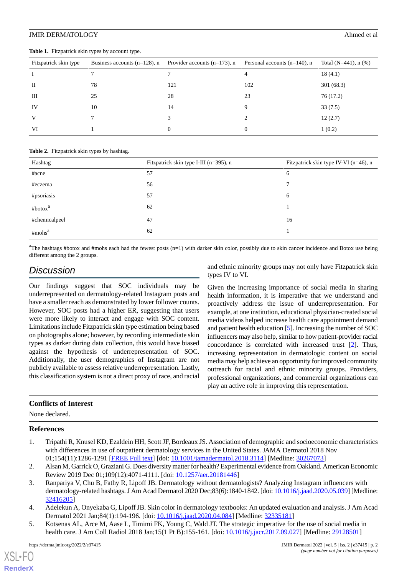### JMIR DERMATOLOGY Ahmed et al.

| Fitzpatrick skin type | Business accounts $(n=128)$ , n | Provider accounts $(n=173)$ , n | Personal accounts $(n=140)$ , n | Total (N=441), $n$ (%) |
|-----------------------|---------------------------------|---------------------------------|---------------------------------|------------------------|
|                       |                                 |                                 | 4                               | 18(4.1)                |
| П                     | 78                              | 121                             | 102                             | 301(68.3)              |
| Ш                     | 25                              | 28                              | 23                              | 76 (17.2)              |
| IV                    | 10                              | 14                              | 9                               | 33(7.5)                |
| V                     |                                 | 3                               | 2                               | 12(2.7)                |
| VI                    |                                 | 0                               | 0                               | 1(0.2)                 |

#### <span id="page-1-5"></span>**Table 1.** Fitzpatrick skin types by account type.

#### <span id="page-1-6"></span>**Table 2.** Fitzpatrick skin types by hashtag.

| Hashtag             | Fitzpatrick skin type I-III (n=395), n | Fitzpatrick skin type IV-VI (n=46), n |
|---------------------|----------------------------------------|---------------------------------------|
| #acne               | 57                                     | 6                                     |
| #eczema             | 56                                     |                                       |
| #psoriasis          | 57                                     | 6                                     |
| #botox <sup>a</sup> | 62                                     |                                       |
| #chemicalpeel       | 47                                     | 16                                    |
| #mohs <sup>a</sup>  | 62                                     |                                       |

<sup>a</sup>The hashtags #botox and #mohs each had the fewest posts (n=1) with darker skin color, possibly due to skin cancer incidence and Botox use being different among the 2 groups.

# *Discussion*

Our findings suggest that SOC individuals may be underrepresented on dermatology-related Instagram posts and have a smaller reach as demonstrated by lower follower counts. However, SOC posts had a higher ER, suggesting that users were more likely to interact and engage with SOC content. Limitations include Fitzpatrick skin type estimation being based on photographs alone; however, by recording intermediate skin types as darker during data collection, this would have biased against the hypothesis of underrepresentation of SOC. Additionally, the user demographics of Instagram are not publicly available to assess relative underrepresentation. Lastly, this classification system is not a direct proxy of race, and racial

and ethnic minority groups may not only have Fitzpatrick skin types IV to VI.

Given the increasing importance of social media in sharing health information, it is imperative that we understand and proactively address the issue of underrepresentation. For example, at one institution, educational physician-created social media videos helped increase health care appointment demand and patient health education [[5\]](#page-1-4). Increasing the number of SOC influencers may also help, similar to how patient-provider racial concordance is correlated with increased trust [\[2](#page-1-1)]. Thus, increasing representation in dermatologic content on social media may help achieve an opportunity for improved community outreach for racial and ethnic minority groups. Providers, professional organizations, and commercial organizations can play an active role in improving this representation.

# <span id="page-1-0"></span>**Conflicts of Interest**

<span id="page-1-1"></span>None declared.

### <span id="page-1-2"></span>**References**

- 1. Tripathi R, Knusel KD, Ezaldein HH, Scott JF, Bordeaux JS. Association of demographic and socioeconomic characteristics with differences in use of outpatient dermatology services in the United States. JAMA Dermatol 2018 Nov 01;154(11):1286-1291 [[FREE Full text](http://europepmc.org/abstract/MED/30267073)] [doi: [10.1001/jamadermatol.2018.3114\]](http://dx.doi.org/10.1001/jamadermatol.2018.3114) [Medline: [30267073\]](http://www.ncbi.nlm.nih.gov/entrez/query.fcgi?cmd=Retrieve&db=PubMed&list_uids=30267073&dopt=Abstract)
- <span id="page-1-4"></span><span id="page-1-3"></span>2. Alsan M, Garrick O, Graziani G. Does diversity matter for health? Experimental evidence from Oakland. American Economic Review 2019 Dec 01;109(12):4071-4111. [doi: [10.1257/aer.20181446](http://dx.doi.org/10.1257/aer.20181446)]
- 3. Ranpariya V, Chu B, Fathy R, Lipoff JB. Dermatology without dermatologists? Analyzing Instagram influencers with dermatology-related hashtags. J Am Acad Dermatol 2020 Dec;83(6):1840-1842. [doi: [10.1016/j.jaad.2020.05.039\]](http://dx.doi.org/10.1016/j.jaad.2020.05.039) [Medline: [32416205](http://www.ncbi.nlm.nih.gov/entrez/query.fcgi?cmd=Retrieve&db=PubMed&list_uids=32416205&dopt=Abstract)]
- 4. Adelekun A, Onyekaba G, Lipoff JB. Skin color in dermatology textbooks: An updated evaluation and analysis. J Am Acad Dermatol 2021 Jan;84(1):194-196. [doi: [10.1016/j.jaad.2020.04.084](http://dx.doi.org/10.1016/j.jaad.2020.04.084)] [Medline: [32335181](http://www.ncbi.nlm.nih.gov/entrez/query.fcgi?cmd=Retrieve&db=PubMed&list_uids=32335181&dopt=Abstract)]
- 5. Kotsenas AL, Arce M, Aase L, Timimi FK, Young C, Wald JT. The strategic imperative for the use of social media in health care. J Am Coll Radiol 2018 Jan;15(1 Pt B):155-161. [doi: [10.1016/j.jacr.2017.09.027](http://dx.doi.org/10.1016/j.jacr.2017.09.027)] [Medline: [29128501\]](http://www.ncbi.nlm.nih.gov/entrez/query.fcgi?cmd=Retrieve&db=PubMed&list_uids=29128501&dopt=Abstract)

[XSL](http://www.w3.org/Style/XSL)•FO **[RenderX](http://www.renderx.com/)**